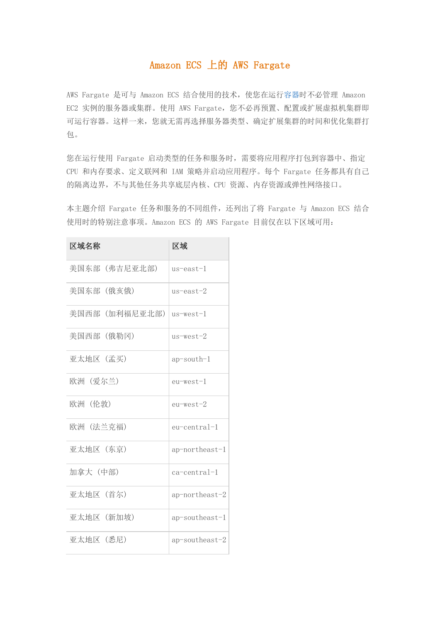# Amazon ECS 上的 AWS Fargate

AWS Fargate 是可与 Amazon ECS 结合使用的技术,使您在运[行容器时](https://aws.amazon.com/what-are-containers)不必管理 Amazon EC2 实例的服务器或集群。使用 AWS Fargate, 您不必再预置、配置或扩展虚拟机集群即 可运行容器。这样一来,您就无需再选择服务器类型、确定扩展集群的时间和优化集群打 包。

您在运行使用 Fargate 启动类型的任务和服务时,需要将应用程序打包到容器中、指定 CPU 和内存要求、定义联网和 IAM 策略并启动应用程序。每个 Fargate 任务都具有自己 的隔离边界,不与其他任务共享底层内核、CPU 资源、内存资源或弹性网络接口。

本主题介绍 Fargate 任务和服务的不同组件, 还列出了将 Fargate 与 Amazon ECS 结合 使用时的特别注意事项。Amazon ECS 的 AWS Fargate 目前仅在以下区域可用:

| 区域名称           | 区域                |
|----------------|-------------------|
| 美国东部 (弗吉尼亚北部)  | $us$ -east-1      |
| 美国东部 (俄亥俄)     | $us$ -east-2      |
| 美国西部 (加利福尼亚北部) | $us$ -west-1      |
| 美国西部 (俄勒冈)     | us-west-2         |
| 亚太地区 (孟买)      | $ap$ -south-1     |
| 欧洲 (爱尔兰)       | $eu$ -west-1      |
| 欧洲(伦敦)         | $eu$ -west-2      |
| 欧洲 (法兰克福)      | $eu-central-1$    |
| 亚太地区 (东京)      | ap-northeast-1    |
| 加拿大 (中部)       | ca-central-1      |
| 亚太地区 (首尔)      | $ap$ -northeast-2 |
| 亚太地区 (新加坡)     | ap-southeast-1    |
| 亚太地区 (悉尼)      | ap-southeast-2    |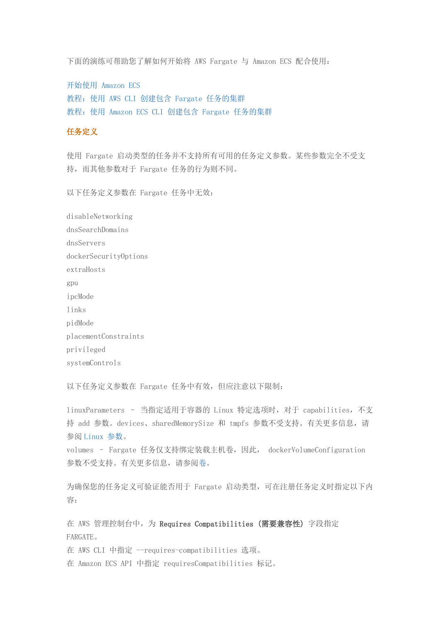下面的演练可帮助您了解如何开始将 AWS Fargate 与 Amazon ECS 配合使用:

开始使用 [Amazon ECS](https://docs.aws.amazon.com/zh_cn/AmazonECS/latest/developerguide/ECS_GetStarted.html) [教程:使用](https://docs.aws.amazon.com/zh_cn/AmazonECS/latest/developerguide/ECS_AWSCLI_Fargate.html) AWS CLI 创建包含 Fargate 任务的集群 教程:使用 [Amazon ECS CLI](https://docs.aws.amazon.com/zh_cn/AmazonECS/latest/developerguide/ecs-cli-tutorial-fargate.html) 创建包含 Fargate 任务的集群

## 任务定义

使用 Fargate 启动类型的任务并不支持所有可用的任务定义参数。某些参数完全不受支 持,而其他参数对于 Fargate 任务的行为则不同。

以下任务定义参数在 Fargate 任务中无效:

disableNetworking dnsSearchDomains dnsServers dockerSecurityOptions extraHosts gpu ipcMode links pidMode placementConstraints privileged systemControls

以下任务定义参数在 Fargate 任务中有效,但应注意以下限制:

linuxParameters – 当指定适用于容器的 Linux 特定选项时,对于 capabilities,不支 持 add 参数。devices、sharedMemorySize 和 tmpfs 参数不受支持。有关更多信息,请 参阅 [Linux](https://docs.aws.amazon.com/zh_cn/AmazonECS/latest/developerguide/task_definition_parameters.html#container_definition_linuxparameters) 参数。

volumes – Fargate 任务仅支持绑定装载主机卷,因此, dockerVolumeConfiguration 参数不受支持。有关更多信息,请参[阅卷。](https://docs.aws.amazon.com/zh_cn/AmazonECS/latest/developerguide/task_definition_parameters.html#volumes)

为确保您的任务定义可验证能否用于 Fargate 启动类型,可在注册任务定义时指定以下内 容:

在 AWS 管理控制台中, 为 Requires Compatibilities (需要兼容性) 字段指定 FARGATE。

在 AWS CLI 中指定 --requires-compatibilities 选项。

在 Amazon ECS API 中指定 requiresCompatibilities 标记。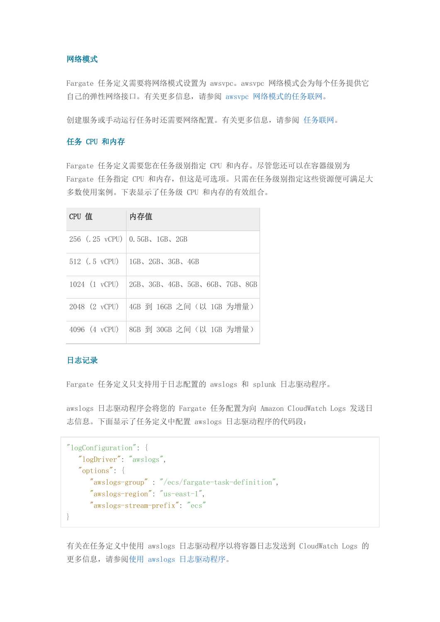# 网络模式

Fargate 任务定义需要将网络模式设置为 awsvpc。awsvpc 网络模式会为每个任务提供它 自己的弹性网络接口。有关更多信息,请参阅 awsvpc [网络模式的任务联网。](https://docs.aws.amazon.com/zh_cn/AmazonECS/latest/developerguide/task-networking.html)

创建服务或手动运行任务时还需要网络配置。有关更多信息,请参阅 [任务联网。](https://docs.aws.amazon.com/zh_cn/AmazonECS/latest/developerguide/AWS_Fargate.html#fargate-tasks-services-networking)

## 任务 CPU 和内存

Fargate 任务定义需要您在任务级别指定 CPU 和内存。尽管您还可以在容器级别为 Fargate 任务指定 CPU 和内存,但这是可选项。只需在任务级别指定这些资源便可满足大 多数使用案例。下表显示了任务级 CPU 和内存的有效组合。

| CPU 值 | 内存值                                             |
|-------|-------------------------------------------------|
|       | 256 $(.25 \text{ vCPU})$ 0.5GB, 1GB, 2GB        |
|       | 512 $(.5 \text{ vCPU})$   1GB, 2GB, 3GB, 4GB    |
|       | 1024 (1 vCPU) 2GB, 3GB, 4GB, 5GB, 6GB, 7GB, 8GB |
|       | 2048 (2 vCPU)   4GB 到 16GB 之间 (以 1GB 为增量)       |
|       | 4096 (4 vCPU)   8GB 到 30GB 之间 (以 1GB 为增量)       |

# 日志记录

Fargate 任务定义只支持用于日志配置的 awslogs 和 splunk 日志驱动程序。

awslogs 日志驱动程序会将您的 Fargate 任务配置为向 Amazon CloudWatch Logs 发送日 志信息。下面显示了任务定义中配置 awslogs 日志驱动程序的代码段:

```
"logConfiguration": { 
    "logDriver": "awslogs",
    "options": { 
       "awslogs-group" : "/ecs/fargate-task-definition",
       "awslogs-region": "us-east-1",
       "awslogs-stream-prefix": "ecs"
}
```
有关在任务定义中使用 awslogs 日志驱动程序以将容器日志发送到 CloudWatch Logs 的 更多信息,请参阅使用 awslogs [日志驱动程序。](https://docs.aws.amazon.com/zh_cn/AmazonECS/latest/developerguide/using_awslogs.html)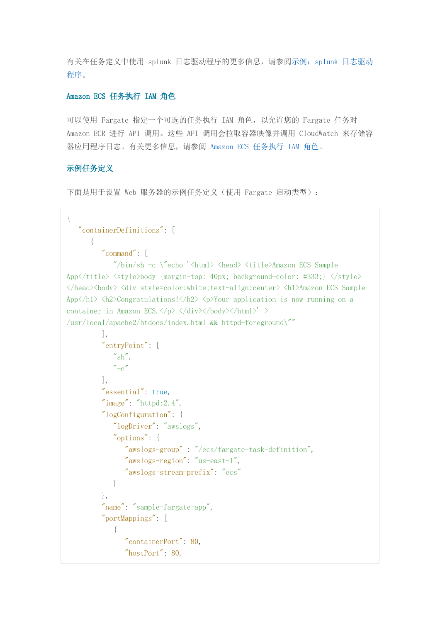有关在任务定义中使用 splunk 日志驱动程序的更多信息,请参阅示例:splunk [日志驱动](https://docs.aws.amazon.com/zh_cn/AmazonECS/latest/developerguide/example_task_definitions.html#example_task_definition-splunk) [程序。](https://docs.aws.amazon.com/zh_cn/AmazonECS/latest/developerguide/example_task_definitions.html#example_task_definition-splunk)

## Amazon ECS 任务执行 IAM 角色

可以使用 Fargate 指定一个可选的任务执行 IAM 角色,以允许您的 Fargate 任务对 Amazon ECR 进行 API 调用。这些 API 调用会拉取容器映像并调用 CloudWatch 来存储容 器应用程序日志。有关更多信息,请参阅 [Amazon ECS](https://docs.aws.amazon.com/zh_cn/AmazonECS/latest/developerguide/task_execution_IAM_role.html) 任务执行 IAM 角色。

## 示例任务定义

下面是用于设置 Web 服务器的示例任务定义(使用 Fargate 启动类型):

```
{
    "containerDefinitions": [ 
\left\{ \begin{array}{c} 1 & 1 \\ 1 & 1 \end{array} \right\} "command": [
               ''/\text{bin}/\text{sh} -c \"echo '<html> <head> <title>Amazon ECS Sample
App</title> <style>body {margin-top: 40px; background-color: #333;} </style>
</head><body> <div style=color:white;text-align:center> <h1>Amazon ECS Sample 
App</h1> <h2>Congratulations!</h2> <p>Your application is now running on a
container in Amazon ECS.\langle \rangle \langle \rangle \langle \langle \text{div} \rangle \langle \text{body} \rangle /html\rangle' \langle \text{phi}/usr/local/apache2/htdocs/index.html && httpd-foreground\""
            ],
            "entryPoint": [
               ''\mathrm{sh}'',
               "-c"
            ],
            "essential": true,
           "image": "httpd: 2.4",
            "logConfiguration": { 
                "logDriver": "awslogs",
                "options": { 
                    "awslogs-group" : "/ecs/fargate-task-definition",
                    "awslogs-region": "us-east-1",
                    "awslogs-stream-prefix": "ecs"
 }
            },
            "name": "sample-fargate-app",
            "portMappings": [ 
                { 
                    "containerPort": 80,
                    "hostPort": 80,
```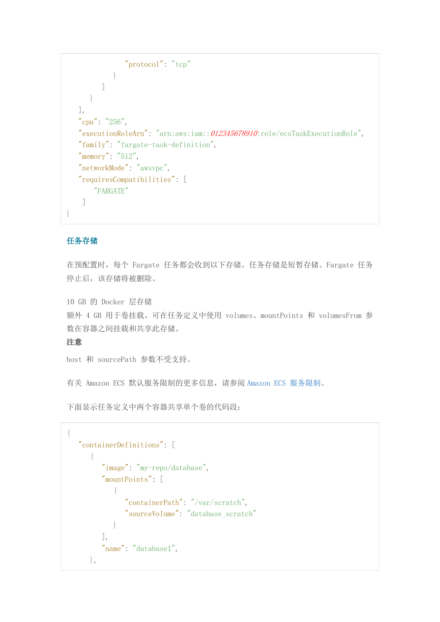```
 "protocol": "tcp"
             }
          ]
      }
   ],
   "cpu": "256",
   "executionRoleArn": "arn:aws:iam::012345678910:role/ecsTaskExecutionRole",
   "family": "fargate-task-definition",
   "memory": "512",
   "networkMode": "awsvpc",
   "requiresCompatibilities": [ 
        "FARGATE"
    ]
}
```
# 任务存储

在预配置时,每个 Fargate 任务都会收到以下存储。任务存储是短暂存储。Fargate 任务 停止后,该存储将被删除。

10 GB 的 Docker 层存储 额外 4 GB 用于卷挂载。可在任务定义中使用 volumes、mountPoints 和 volumesFrom 参 数在容器之间挂载和共享此存储。

## 注意

host 和 sourcePath 参数不受支持。

有关 Amazon ECS 默认服务限制的更多信息,请参阅 [Amazon ECS](https://docs.aws.amazon.com/zh_cn/AmazonECS/latest/developerguide/service_limits.html) 服务限制。

下面显示任务定义中两个容器共享单个卷的代码段:

```
{
        "containerDefinitions": [ 
                { 
                        "image": "my-repo/database",
                        "mountPoints": [ 
\left\{ \begin{array}{cc} 0 & 0 & 0 \\ 0 & 0 & 0 \\ 0 & 0 & 0 \\ 0 & 0 & 0 \\ 0 & 0 & 0 \\ 0 & 0 & 0 \\ 0 & 0 & 0 \\ 0 & 0 & 0 \\ 0 & 0 & 0 \\ 0 & 0 & 0 \\ 0 & 0 & 0 \\ 0 & 0 & 0 \\ 0 & 0 & 0 & 0 \\ 0 & 0 & 0 & 0 \\ 0 & 0 & 0 & 0 \\ 0 & 0 & 0 & 0 & 0 \\ 0 & 0 & 0 & 0 & 0 \\ 0 & 0 & 0 & 0 & 0 \\ 0 & 0 & 0 & 0 & 0 \\ 0 & 0 "containerPath": "/var/scratch",
                                       "sourceVolume": "database_scratch"
 }
                       ],
                        "name": "database1",
                },
```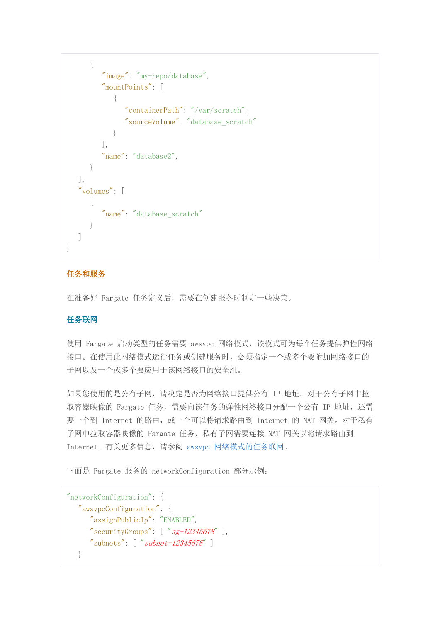```
\{ "image": "my-repo/database",
                      "mountPoints": [ 
\left\{ \begin{array}{cc} 0 & 0 & 0 \\ 0 & 0 & 0 \\ 0 & 0 & 0 \\ 0 & 0 & 0 \\ 0 & 0 & 0 \\ 0 & 0 & 0 \\ 0 & 0 & 0 \\ 0 & 0 & 0 \\ 0 & 0 & 0 \\ 0 & 0 & 0 \\ 0 & 0 & 0 \\ 0 & 0 & 0 \\ 0 & 0 & 0 & 0 \\ 0 & 0 & 0 & 0 \\ 0 & 0 & 0 & 0 \\ 0 & 0 & 0 & 0 & 0 \\ 0 & 0 & 0 & 0 & 0 \\ 0 & 0 & 0 & 0 & 0 \\ 0 & 0 & 0 & 0 & 0 \\ 0 & 0 "containerPath": "/var/scratch",
                                    "sourceVolume": "database_scratch"
 }
                      ],
                      "name": "database2",
              }
       ],
       "volumes": [ 
               { 
                      "name": "database_scratch"
 }
       ]
}
```
# 任务和服务

在准备好 Fargate 任务定义后,需要在创建服务时制定一些决策。

# 任务联网

使用 Fargate 启动类型的任务需要 awsvpc 网络模式,该模式可为每个任务提供弹性网络 接口。在使用此网络模式运行任务或创建服务时,必须指定一个或多个要附加网络接口的 子网以及一个或多个要应用于该网络接口的安全组。

如果您使用的是公有子网,请决定是否为网络接口提供公有 IP 地址。对于公有子网中拉 取容器映像的 Fargate 任务, 需要向该任务的弹性网络接口分配一个公有 IP 地址, 还需 要一个到 Internet 的路由, 或一个可以将请求路由到 Internet 的 NAT 网关。对于私有 子网中拉取容器映像的 Fargate 任务, 私有子网需要连接 NAT 网关以将请求路由到 Internet。有关更多信息,请参阅 awsvpc [网络模式的任务联网。](https://docs.aws.amazon.com/zh_cn/AmazonECS/latest/developerguide/task-networking.html)

下面是 Fargate 服务的 networkConfiguration 部分示例:

```
"networkConfiguration": { 
    "awsvpcConfiguration": { 
       "assignPublicIp": "ENABLED",
      "securityGroups": [ "sg-12345678"],
       "subnets": [ "subnet-12345678" ]
   }
```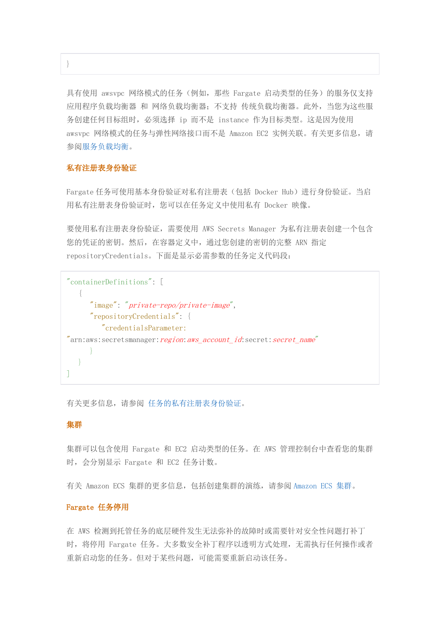具有使用 awsvpc 网络模式的任务(例如,那些 Fargate 启动类型的任务)的服务仅支持 应用程序负载均衡器 和 网络负载均衡器;不支持 传统负载均衡器。此外,当您为这些服 务创建任何目标组时,必须选择 ip 而不是 instance 作为目标类型。这是因为使用 awsvpc 网络模式的任务与弹性网络接口而不是 Amazon EC2 实例关联。有关更多信息, 请 参[阅服务负载均衡。](https://docs.aws.amazon.com/zh_cn/AmazonECS/latest/developerguide/service-load-balancing.html)

#### 私有注册表身份验证

}

Fargate 任务可使用基本身份验证对私有注册表(包括 Docker Hub)进行身份验证。当启 用私有注册表身份验证时,您可以在任务定义中使用私有 Docker 映像。

要使用私有注册表身份验证,需要使用 AWS Secrets Manager 为私有注册表创建一个包含 您的凭证的密钥。然后,在容器定义中,通过您创建的密钥的完整 ARN 指定 repositoryCredentials。下面是显示必需参数的任务定义代码段:

```
"containerDefinitions": [
\left\{\begin{array}{c} \end{array}\right\} "image": "private-repo/private-image",
        "repositoryCredentials": {
            "credentialsParameter: 
"arn:aws:secretsmanager:region:aws_account_id:secret:secret_name"
 }
    }
]
```
有关更多信息,请参阅 [任务的私有注册表身份验证。](https://docs.aws.amazon.com/zh_cn/AmazonECS/latest/developerguide/private-auth.html)

#### 集群

集群可以包含使用 Fargate 和 EC2 启动类型的任务。在 AWS 管理控制台中查看您的集群 时,会分别显示 Fargate 和 EC2 任务计数。

有关 Amazon ECS 集群的更多信息,包括创建集群的演练,请参阅 [Amazon ECS](https://docs.aws.amazon.com/zh_cn/AmazonECS/latest/developerguide/ECS_clusters.html) 集群。

#### Fargate 任务停用

在 AWS 检测到托管任务的底层硬件发生无法弥补的故障时或需要针对安全性问题打补丁 时, 将停用 Fargate 任务。大多数安全补丁程序以透明方式处理, 无需执行任何操作或者 重新启动您的任务。但对于某些问题,可能需要重新启动该任务。